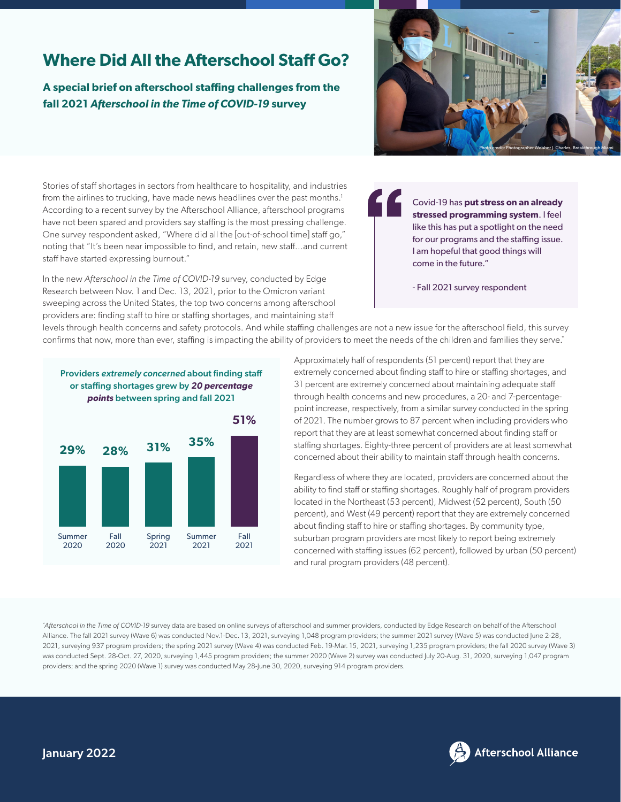# **Where Did All the Afterschool Staff Go?**

**A special brief on afterschool staffing challenges from the fall 2021** *Afterschool in the Time of COVID-19* **survey**



Stories of staff shortages in sectors from healthcare to hospitality, and industries from the airlines to trucking, have made news headlines over the past months.<sup>1</sup> According to a recent survey by the Afterschool Alliance, afterschool programs have not been spared and providers say staffing is the most pressing challenge. One survey respondent asked, "Where did all the [out-of-school time] staff go," noting that "It's been near impossible to find, and retain, new staff…and current staff have started expressing burnout."

In the new *Afterschool in the Time of COVID-19* survey, conducted by Edge Research between Nov. 1 and Dec. 13, 2021, prior to the Omicron variant sweeping across the United States, the top two concerns among afterschool providers are: finding staff to hire or staffing shortages, and maintaining staff

Covid-19 has **put stress on an already stressed programming system**. I feel like this has put a spotlight on the need for our programs and the staffing issue. I am hopeful that good things will come in the future."

- Fall 2021 survey respondent

levels through health concerns and safety protocols. And while staffing challenges are not a new issue for the afterschool field, this survey confirms that now, more than ever, staffing is impacting the ability of providers to meet the needs of the children and families they serve.\*



Approximately half of respondents (51 percent) report that they are extremely concerned about finding staff to hire or staffing shortages, and 31 percent are extremely concerned about maintaining adequate staff through health concerns and new procedures, a 20- and 7-percentagepoint increase, respectively, from a similar survey conducted in the spring of 2021. The number grows to 87 percent when including providers who report that they are at least somewhat concerned about finding staff or staffing shortages. Eighty-three percent of providers are at least somewhat concerned about their ability to maintain staff through health concerns.

Regardless of where they are located, providers are concerned about the ability to find staff or staffing shortages. Roughly half of program providers located in the Northeast (53 percent), Midwest (52 percent), South (50 percent), and West (49 percent) report that they are extremely concerned about finding staff to hire or staffing shortages. By community type, suburban program providers are most likely to report being extremely concerned with staffing issues (62 percent), followed by urban (50 percent) and rural program providers (48 percent).

*\* Afterschool in the Time of COVID-19* survey data are based on online surveys of afterschool and summer providers, conducted by Edge Research on behalf of the Afterschool Alliance. The fall 2021 survey (Wave 6) was conducted Nov.1-Dec. 13, 2021, surveying 1,048 program providers; the summer 2021 survey (Wave 5) was conducted June 2-28, 2021, surveying 937 program providers; the spring 2021 survey (Wave 4) was conducted Feb. 19-Mar. 15, 2021, surveying 1,235 program providers; the fall 2020 survey (Wave 3) was conducted Sept. 28-Oct. 27, 2020, surveying 1,445 program providers; the summer 2020 (Wave 2) survey was conducted July 20-Aug. 31, 2020, surveying 1,047 program providers; and the spring 2020 (Wave 1) survey was conducted May 28-June 30, 2020, surveying 914 program providers.

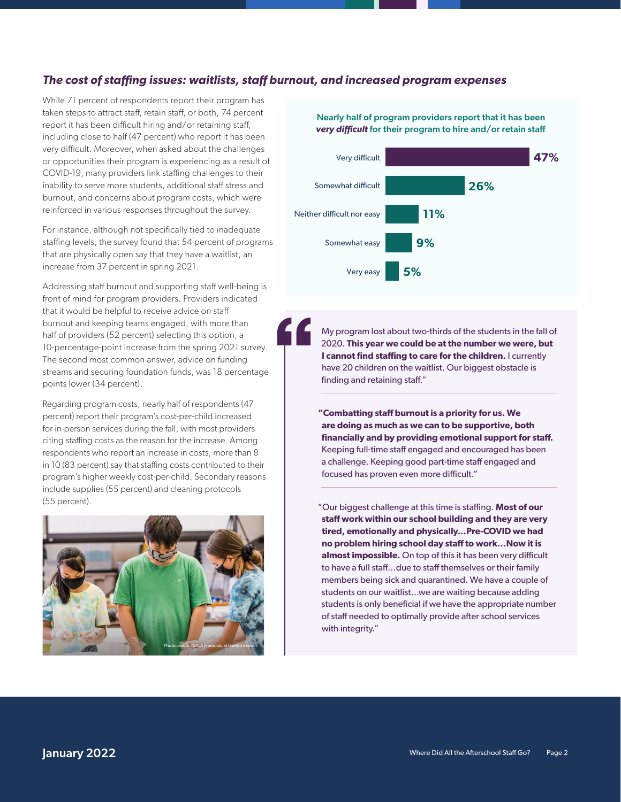### *The cost of staffing issues: waitlists, staff burnout, and increased program expenses*

While 71 percent of respondents report their program has taken steps to attract staff, retain staff, or both, 74 percent report it has been difficult hiring and/or retaining staff, including close to half (47 percent) who report it has been very difficult. Moreover, when asked about the challenges or opportunities their program is experiencing as a result of COVID-19, many providers link staffing challenges to their inability to serve more students, additional staff stress and burnout, and concerns about program costs, which were reinforced in various responses throughout the survey.

For instance, although not specifically tied to inadequate staffing levels, the survey found that 54 percent of programs that are physically open say that they have a waitlist, an increase from 37 percent in spring 2021.

Addressing staff burnout and supporting staff well-being is front of mind for program providers. Providers indicated that it would be helpful to receive advice on staff burnout and keeping teams engaged, with more than half of providers (52 percent) selecting this option, a 10-percentage-point increase from the spring 2021 survey. The second most common answer, advice on funding streams and securing foundation funds, was 18 percentage points lower (34 percent).

Regarding program costs, nearly half of respondents (47 percent) report their program's cost-per-child increased for in-person services during the fall, with most providers citing staffing costs as the reason for the increase. Among respondents who report an increase in costs, more than 8 in 10 (83 percent) say that staffing costs contributed to their program's higher weekly cost-per-child. Secondary reasons include supplies (55 percent) and cleaning protocols (55 percent).



Nearly half of program providers report that it has been *very difficult* for their program to hire and/or retain staff



My program lost about two-thirds of the students in the fall of 2020. **This year we could be at the number we were, but I cannot find staffing to care for the children.** I currently have 20 children on the waitlist. Our biggest obstacle is finding and retaining staff."

**"Combatting staff burnout is a priority for us. We are doing as much as we can to be supportive, both financially and by providing emotional support for staff.** Keeping full-time staff engaged and encouraged has been a challenge. Keeping good part-time staff engaged and focused has proven even more difficult."

"Our biggest challenge at this time is staffing. **Most of our staff work within our school building and they are very tired, emotionally and physically…Pre-COVID we had no problem hiring school day staff to work…Now it is almost impossible.** On top of this it has been very difficult to have a full staff…due to staff themselves or their family members being sick and quarantined. We have a couple of students on our waitlist...we are waiting because adding students is only beneficial if we have the appropriate number of staff needed to optimally provide after school services with integrity."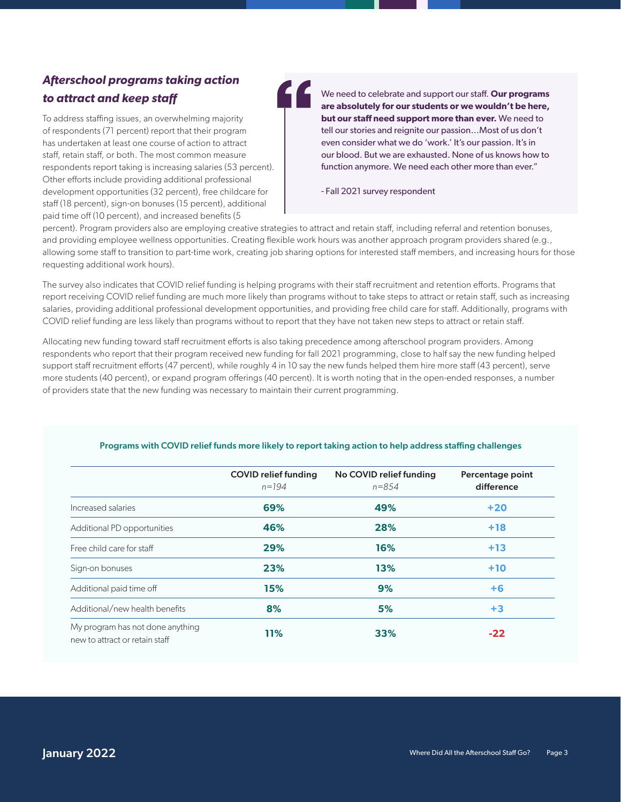# *Afterschool programs taking action to attract and keep staff*

To address staffing issues, an overwhelming majority of respondents (71 percent) report that their program has undertaken at least one course of action to attract staff, retain staff, or both. The most common measure respondents report taking is increasing salaries (53 percent). Other efforts include providing additional professional development opportunities (32 percent), free childcare for staff (18 percent), sign-on bonuses (15 percent), additional paid time off (10 percent), and increased benefits (5

We need to celebrate and support our staff. **Our programs are absolutely for our students or we wouldn't be here, but our staff need support more than ever.** We need to tell our stories and reignite our passion…Most of us don't even consider what we do 'work.' It's our passion. It's in our blood. But we are exhausted. None of us knows how to function anymore. We need each other more than ever."

- Fall 2021 survey respondent

percent). Program providers also are employing creative strategies to attract and retain staff, including referral and retention bonuses, and providing employee wellness opportunities. Creating flexible work hours was another approach program providers shared (e.g., allowing some staff to transition to part-time work, creating job sharing options for interested staff members, and increasing hours for those requesting additional work hours).

C C

The survey also indicates that COVID relief funding is helping programs with their staff recruitment and retention efforts. Programs that report receiving COVID relief funding are much more likely than programs without to take steps to attract or retain staff, such as increasing salaries, providing additional professional development opportunities, and providing free child care for staff. Additionally, programs with COVID relief funding are less likely than programs without to report that they have not taken new steps to attract or retain staff.

Allocating new funding toward staff recruitment efforts is also taking precedence among afterschool program providers. Among respondents who report that their program received new funding for fall 2021 programming, close to half say the new funding helped support staff recruitment efforts (47 percent), while roughly 4 in 10 say the new funds helped them hire more staff (43 percent), serve more students (40 percent), or expand program offerings (40 percent). It is worth noting that in the open-ended responses, a number of providers state that the new funding was necessary to maintain their current programming.

|                                                                    | <b>COVID</b> relief funding<br>$n = 194$ | No COVID relief funding<br>$n = 854$ | Percentage point<br>difference |
|--------------------------------------------------------------------|------------------------------------------|--------------------------------------|--------------------------------|
| Increased salaries                                                 | 69%                                      | 49%                                  | $+20$                          |
| Additional PD opportunities                                        | 46%                                      | 28%                                  | $+18$                          |
| Free child care for staff                                          | 29%                                      | 16%                                  | $+13$                          |
| Sign-on bonuses                                                    | 23%                                      | 13%                                  | $+10$                          |
| Additional paid time off                                           | 15%                                      | 9%                                   | $+6$                           |
| Additional/new health benefits                                     | 8%                                       | 5%                                   | $+3$                           |
| My program has not done anything<br>new to attract or retain staff | 11%                                      | 33%                                  | -22                            |

#### Programs with COVID relief funds more likely to report taking action to help address staffing challenges